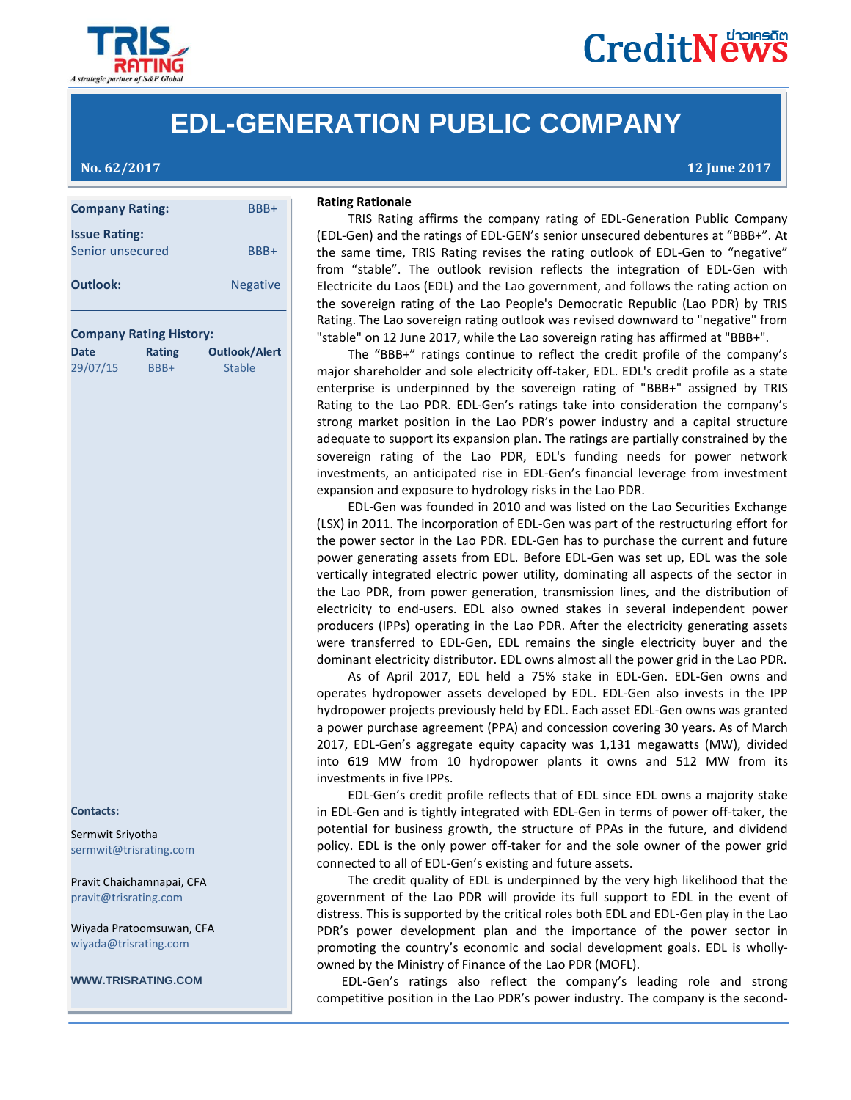

# **CreditNews**

### **EDL-GENERATION PUBLIC COMPANY**

**No. 62/2017 12 June 2017**

| <b>Company Rating:</b>                   | BBB+            |
|------------------------------------------|-----------------|
| <b>Issue Rating:</b><br>Senior unsecured | BBB+            |
| <b>Outlook:</b>                          | <b>Negative</b> |
|                                          |                 |

### **Company Rating History:**

| <b>Date</b> | Rating | <b>Outlook/Alert</b> |  |  |  |
|-------------|--------|----------------------|--|--|--|
| 29/07/15    | BBB+   | <b>Stable</b>        |  |  |  |

#### **Contacts:**

Sermwit Sriyotha [sermwit@trisrating.com](mailto:suchada@tris.co.th)

Pravit Chaichamnapai, CFA [pravit@trisrating.com](mailto:suchada@tris.co.th)

Wiyada Pratoomsuwan, CFA [wiyada@trisrating.com](mailto:watana@tris.co.th)

**WWW.TRISRATING.COM**

### **Rating Rationale**

TRIS Rating **Rationale**<br>
TRIS Rating affirms the company rating of EDL-Generation Public Company (EDL-Gen) and the ratings of EDL-GEN's senior unsecured debentures at "BBB+". At enior unsecured **BBB+ he same time, TRIS Rating revises the rating outlook of EDL-Gen to "negative"** from "stable". The outlook revision reflects the integration of EDL-Gen with Electricite du Laos (EDL) and the Lao government, and follows the rating action on the sovereign rating of the Lao People's Democratic Republic (Lao PDR) by TRIS Rating. The Lao sovereign rating outlook was revised downward to "negative" from "stable" on 12 June 2017, while the Lao sovereign rating has affirmed at "BBB+".

> The "BBB+" ratings continue to reflect the credit profile of the company's major shareholder and sole electricity off-taker, EDL. EDL's credit profile as a state enterprise is underpinned by the sovereign rating of "BBB+" assigned by TRIS Rating to the Lao PDR. EDL-Gen's ratings take into consideration the company's strong market position in the Lao PDR's power industry and a capital structure adequate to support its expansion plan. The ratings are partially constrained by the sovereign rating of the Lao PDR, EDL's funding needs for power network investments, an anticipated rise in EDL-Gen's financial leverage from investment expansion and exposure to hydrology risks in the Lao PDR.

> EDL-Gen was founded in 2010 and was listed on the Lao Securities Exchange (LSX) in 2011. The incorporation of EDL-Gen was part of the restructuring effort for the power sector in the Lao PDR. EDL-Gen has to purchase the current and future power generating assets from EDL. Before EDL-Gen was set up, EDL was the sole vertically integrated electric power utility, dominating all aspects of the sector in the Lao PDR, from power generation, transmission lines, and the distribution of electricity to end-users. EDL also owned stakes in several independent power producers (IPPs) operating in the Lao PDR. After the electricity generating assets were transferred to EDL-Gen, EDL remains the single electricity buyer and the dominant electricity distributor. EDL owns almost all the power grid in the Lao PDR.

> As of April 2017, EDL held a 75% stake in EDL-Gen. EDL-Gen owns and operates hydropower assets developed by EDL. EDL-Gen also invests in the IPP hydropower projects previously held by EDL. Each asset EDL-Gen owns was granted a power purchase agreement (PPA) and concession covering 30 years. As of March 2017, EDL-Gen's aggregate equity capacity was 1,131 megawatts (MW), divided into 619 MW from 10 hydropower plants it owns and 512 MW from its investments in five IPPs.

> EDL-Gen's credit profile reflects that of EDL since EDL owns a majority stake in EDL-Gen and is tightly integrated with EDL-Gen in terms of power off-taker, the potential for business growth, the structure of PPAs in the future, and dividend policy. EDL is the only power off-taker for and the sole owner of the power grid connected to all of EDL-Gen's existing and future assets.

> The credit quality of EDL is underpinned by the very high likelihood that the government of the Lao PDR will provide its full support to EDL in the event of distress. This is supported by the critical roles both EDL and EDL-Gen play in the Lao PDR's power development plan and the importance of the power sector in promoting the country's economic and social development goals. EDL is whollyowned by the Ministry of Finance of the Lao PDR (MOFL).

> EDL-Gen's ratings also reflect the company's leading role and strong competitive position in the Lao PDR's power industry. The company is the second-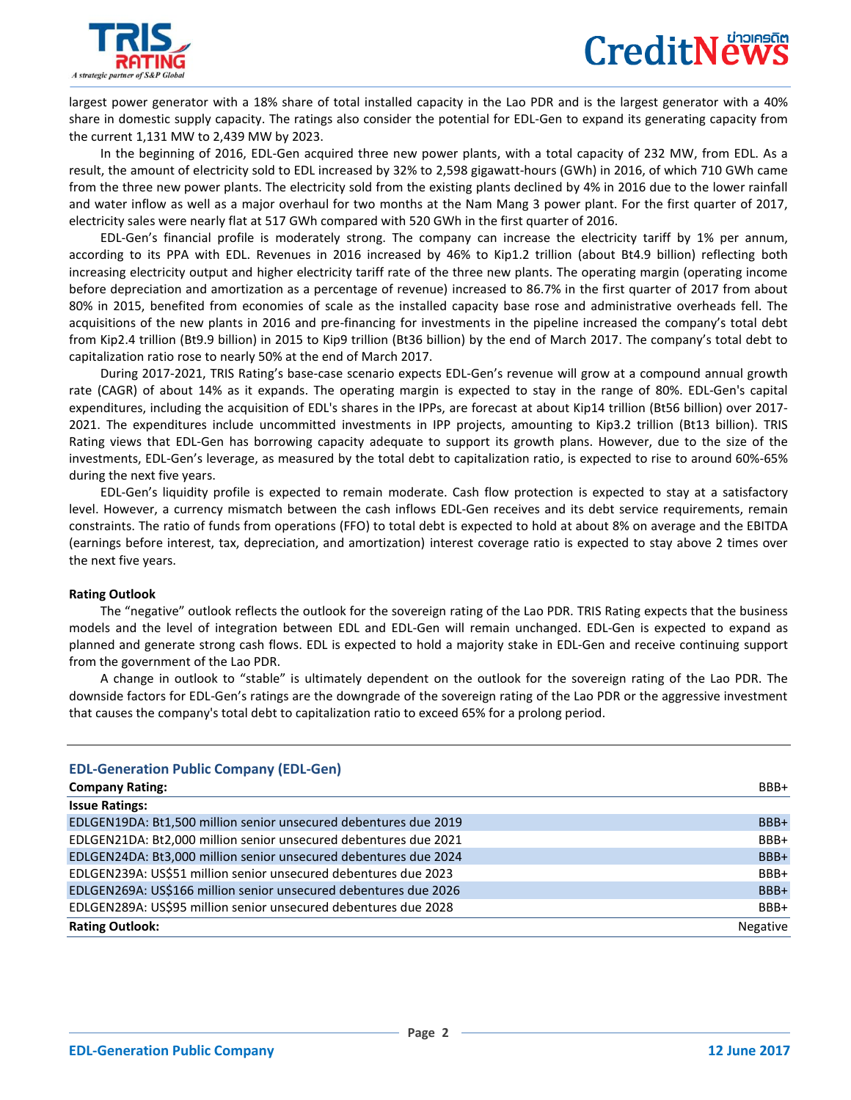

largest power generator with a 18% share of total installed capacity in the Lao PDR and is the largest generator with a 40% share in domestic supply capacity. The ratings also consider the potential for EDL-Gen to expand its generating capacity from the current 1,131 MW to 2,439 MW by 2023.

In the beginning of 2016, EDL-Gen acquired three new power plants, with a total capacity of 232 MW, from EDL. As a result, the amount of electricity sold to EDL increased by 32% to 2,598 gigawatt-hours (GWh) in 2016, of which 710 GWh came from the three new power plants. The electricity sold from the existing plants declined by 4% in 2016 due to the lower rainfall and water inflow as well as a major overhaul for two months at the Nam Mang 3 power plant. For the first quarter of 2017, electricity sales were nearly flat at 517 GWh compared with 520 GWh in the first quarter of 2016.

EDL-Gen's financial profile is moderately strong. The company can increase the electricity tariff by 1% per annum, according to its PPA with EDL. Revenues in 2016 increased by 46% to Kip1.2 trillion (about Bt4.9 billion) reflecting both increasing electricity output and higher electricity tariff rate of the three new plants. The operating margin (operating income before depreciation and amortization as a percentage of revenue) increased to 86.7% in the first quarter of 2017 from about 80% in 2015, benefited from economies of scale as the installed capacity base rose and administrative overheads fell. The acquisitions of the new plants in 2016 and pre-financing for investments in the pipeline increased the company's total debt from Kip2.4 trillion (Bt9.9 billion) in 2015 to Kip9 trillion (Bt36 billion) by the end of March 2017. The company's total debt to capitalization ratio rose to nearly 50% at the end of March 2017.

During 2017-2021, TRIS Rating's base-case scenario expects EDL-Gen's revenue will grow at a compound annual growth rate (CAGR) of about 14% as it expands. The operating margin is expected to stay in the range of 80%. EDL-Gen's capital expenditures, including the acquisition of EDL's shares in the IPPs, are forecast at about Kip14 trillion (Bt56 billion) over 2017- 2021. The expenditures include uncommitted investments in IPP projects, amounting to Kip3.2 trillion (Bt13 billion). TRIS Rating views that EDL-Gen has borrowing capacity adequate to support its growth plans. However, due to the size of the investments, EDL-Gen's leverage, as measured by the total debt to capitalization ratio, is expected to rise to around 60%-65% during the next five years.

EDL-Gen's liquidity profile is expected to remain moderate. Cash flow protection is expected to stay at a satisfactory level. However, a currency mismatch between the cash inflows EDL-Gen receives and its debt service requirements, remain constraints. The ratio of funds from operations (FFO) to total debt is expected to hold at about 8% on average and the EBITDA (earnings before interest, tax, depreciation, and amortization) interest coverage ratio is expected to stay above 2 times over the next five years.

### **Rating Outlook**

The "negative" outlook reflects the outlook for the sovereign rating of the Lao PDR. TRIS Rating expects that the business models and the level of integration between EDL and EDL-Gen will remain unchanged. EDL-Gen is expected to expand as planned and generate strong cash flows. EDL is expected to hold a majority stake in EDL-Gen and receive continuing support from the government of the Lao PDR.

A change in outlook to "stable" is ultimately dependent on the outlook for the sovereign rating of the Lao PDR. The downside factors for EDL-Gen's ratings are the downgrade of the sovereign rating of the Lao PDR or the aggressive investment that causes the company's total debt to capitalization ratio to exceed 65% for a prolong period.

| <b>EDL-Generation Public Company (EDL-Gen)</b>                   |          |
|------------------------------------------------------------------|----------|
| <b>Company Rating:</b>                                           | BBB+     |
| <b>Issue Ratings:</b>                                            |          |
| EDLGEN19DA: Bt1,500 million senior unsecured debentures due 2019 | BBB+     |
| EDLGEN21DA: Bt2,000 million senior unsecured debentures due 2021 | BBB+     |
| EDLGEN24DA: Bt3,000 million senior unsecured debentures due 2024 | BBB+     |
| EDLGEN239A: US\$51 million senior unsecured debentures due 2023  | BBB+     |
| EDLGEN269A: US\$166 million senior unsecured debentures due 2026 | BBB+     |
| EDLGEN289A: US\$95 million senior unsecured debentures due 2028  | BBB+     |
| <b>Rating Outlook:</b>                                           | Negative |